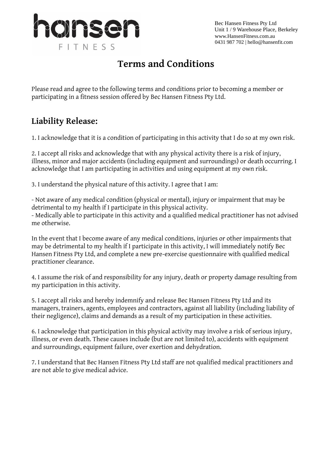

Bec Hansen Fitness Pty Ltd Unit 1 / 9 Warehouse Place, Berkeley www.HansenFitness.com.au 0431 987 702 | hello@hansenfit.com

# **Terms and Conditions**

Please read and agree to the following terms and conditions prior to becoming a member or participating in a fitness session offered by Bec Hansen Fitness Pty Ltd.

#### **Liability Release:**

1. I acknowledge that it is a condition of participating in this activity that I do so at my own risk.

2. I accept all risks and acknowledge that with any physical activity there is a risk of injury, illness, minor and major accidents (including equipment and surroundings) or death occurring. I acknowledge that I am participating in activities and using equipment at my own risk.

3. I understand the physical nature of this activity. I agree that I am:

- Not aware of any medical condition (physical or mental), injury or impairment that may be detrimental to my health if I participate in this physical activity. - Medically able to participate in this activity and a qualified medical practitioner has not advised me otherwise.

In the event that I become aware of any medical conditions, injuries or other impairments that may be detrimental to my health if I participate in this activity, I will immediately notify Bec Hansen Fitness Pty Ltd, and complete a new pre-exercise questionnaire with qualified medical practitioner clearance.

4. I assume the risk of and responsibility for any injury, death or property damage resulting from my participation in this activity.

5. I accept all risks and hereby indemnify and release Bec Hansen Fitness Pty Ltd and its managers, trainers, agents, employees and contractors, against all liability (including liability of their negligence), claims and demands as a result of my participation in these activities.

6. I acknowledge that participation in this physical activity may involve a risk of serious injury, illness, or even death. These causes include (but are not limited to), accidents with equipment and surroundings, equipment failure, over exertion and dehydration.

7. I understand that Bec Hansen Fitness Pty Ltd staff are not qualified medical practitioners and are not able to give medical advice.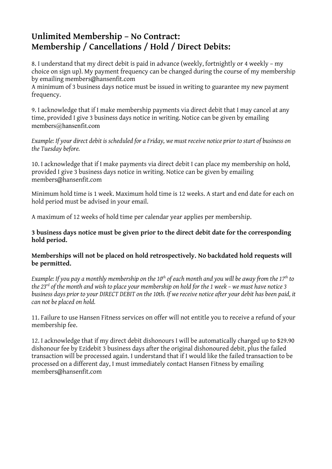### **Unlimited Membership – No Contract: Membership / Cancellations / Hold / Direct Debits:**

8. I understand that my direct debit is paid in advance (weekly, fortnightly or 4 weekly – my choice on sign up). My payment frequency can be changed during the course of my membership by emailing members@hansenfit.com

A minimum of 3 business days notice must be issued in writing to guarantee my new payment frequency.

9. I acknowledge that if I make membership payments via direct debit that I may cancel at any time, provided I give 3 business days notice in writing. Notice can be given by emailing members@hansenfit.com

*Example: If your direct debit is scheduled for a Friday, we must receive notice prior to start of business on the Tuesday before.*

10. I acknowledge that if I make payments via direct debit I can place my membership on hold, provided I give 3 business days notice in writing. Notice can be given by emailing members@hansenfit.com

Minimum hold time is 1 week. Maximum hold time is 12 weeks. A start and end date for each on hold period must be advised in your email.

A maximum of 12 weeks of hold time per calendar year applies per membership.

#### **3 business days notice must be given prior to the direct debit date for the corresponding hold period.**

#### **Memberships will not be placed on hold retrospectively. No backdated hold requests will be permitted.**

*Example: If you pay a monthly membership on the 10th of each month and you will be away from the 17th to the 23<sup>rd</sup> of the month and wish to place your membership on hold for the 1 week – we must have notice 3 business days prior to your DIRECT DEBIT on the 10th. If we receive notice after your debit has been paid, it can not be placed on hold.*

11. Failure to use Hansen Fitness services on offer will not entitle you to receive a refund of your membership fee.

12. I acknowledge that if my direct debit dishonours I will be automatically charged up to \$29.90 dishonour fee by Ezidebit 3 business days after the original dishonoured debit, plus the failed transaction will be processed again. I understand that if I would like the failed transaction to be processed on a different day, I must immediately contact Hansen Fitness by emailing members@hansenfit.com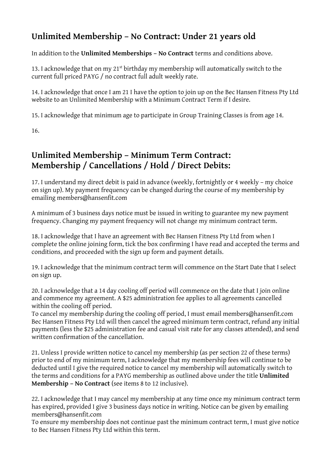## **Unlimited Membership – No Contract: Under 21 years old**

In addition to the **Unlimited Memberships – No Contract** terms and conditions above.

13. I acknowledge that on my 21<sup>st</sup> birthday my membership will automatically switch to the current full priced PAYG / no contract full adult weekly rate.

14. I acknowledge that once I am 21 I have the option to join up on the Bec Hansen Fitness Pty Ltd website to an Unlimited Membership with a Minimum Contract Term if I desire.

15. I acknowledge that minimum age to participate in Group Training Classes is from age 14.

16.

### **Unlimited Membership – Minimum Term Contract: Membership / Cancellations / Hold / Direct Debits:**

17. I understand my direct debit is paid in advance (weekly, fortnightly or 4 weekly – my choice on sign up). My payment frequency can be changed during the course of my membership by emailing members@hansenfit.com

A minimum of 3 business days notice must be issued in writing to guarantee my new payment frequency. Changing my payment frequency will not change my minimum contract term.

18. I acknowledge that I have an agreement with Bec Hansen Fitness Pty Ltd from when I complete the online joining form, tick the box confirming I have read and accepted the terms and conditions, and proceeded with the sign up form and payment details.

19. I acknowledge that the minimum contract term will commence on the Start Date that I select on sign up.

20. I acknowledge that a 14 day cooling off period will commence on the date that I join online and commence my agreement. A \$25 administration fee applies to all agreements cancelled within the cooling off period.

To cancel my membership during the cooling off period, I must email members@hansenfit.com Bec Hansen Fitness Pty Ltd will then cancel the agreed minimum term contract, refund any initial payments (less the \$25 administration fee and casual visit rate for any classes attended), and send written confirmation of the cancellation.

21. Unless I provide written notice to cancel my membership (as per section 22 of these terms) prior to end of my minimum term, I acknowledge that my membership fees will continue to be deducted until I give the required notice to cancel my membership will automatically switch to the terms and conditions for a PAYG membership as outlined above under the title **Unlimited Membership – No Contract** (see items 8 to 12 inclusive).

22. I acknowledge that I may cancel my membership at any time once my minimum contract term has expired, provided I give 3 business days notice in writing. Notice can be given by emailing members@hansenfit.com

To ensure my membership does not continue past the minimum contract term, I must give notice to Bec Hansen Fitness Pty Ltd within this term.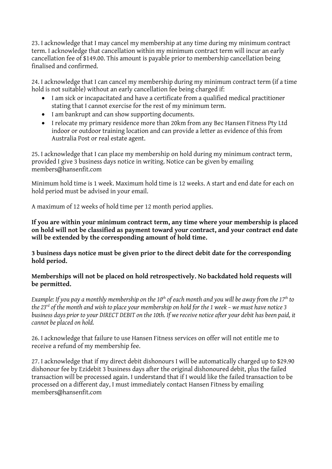23. I acknowledge that I may cancel my membership at any time during my minimum contract term. I acknowledge that cancellation within my minimum contract term will incur an early cancellation fee of \$149.00. This amount is payable prior to membership cancellation being finalised and confirmed.

24. I acknowledge that I can cancel my membership during my minimum contract term (if a time hold is not suitable) without an early cancellation fee being charged if:

- I am sick or incapacitated and have a certificate from a qualified medical practitioner stating that I cannot exercise for the rest of my minimum term.
- I am bankrupt and can show supporting documents.
- I relocate my primary residence more than 20km from any Bec Hansen Fitness Pty Ltd indoor or outdoor training location and can provide a letter as evidence of this from Australia Post or real estate agent.

25. I acknowledge that I can place my membership on hold during my minimum contract term, provided I give 3 business days notice in writing. Notice can be given by emailing members@hansenfit.com

Minimum hold time is 1 week. Maximum hold time is 12 weeks. A start and end date for each on hold period must be advised in your email.

A maximum of 12 weeks of hold time per 12 month period applies.

**If you are within your minimum contract term, any time where your membership is placed on hold will not be classified as payment toward your contract, and your contract end date will be extended by the corresponding amount of hold time.** 

**3 business days notice must be given prior to the direct debit date for the corresponding hold period.**

#### **Memberships will not be placed on hold retrospectively. No backdated hold requests will be permitted.**

*Example: If you pay a monthly membership on the 10th of each month and you will be away from the 17th to the 23<sup>rd</sup> of the month and wish to place your membership on hold for the 1 week – we must have notice 3 business days prior to your DIRECT DEBIT on the 10th. If we receive notice after your debit has been paid, it cannot be placed on hold.*

26. I acknowledge that failure to use Hansen Fitness services on offer will not entitle me to receive a refund of my membership fee.

27. I acknowledge that if my direct debit dishonours I will be automatically charged up to \$29.90 dishonour fee by Ezidebit 3 business days after the original dishonoured debit, plus the failed transaction will be processed again. I understand that if I would like the failed transaction to be processed on a different day, I must immediately contact Hansen Fitness by emailing members@hansenfit.com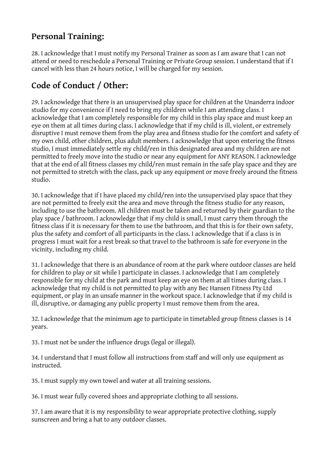### **Personal Training:**

28. I acknowledge that I must notify my Personal Trainer as soon as I am aware that I can not attend or need to reschedule a Personal Training or Private Group session. I understand that if I cancel with less than 24 hours notice, I will be charged for my session.

# **Code of Conduct / Other:**

29. I acknowledge that there is an unsupervised play space for children at the Unanderra indoor studio for my convenience if I need to bring my children while I am attending class. I acknowledge that I am completely responsible for my child in this play space and must keep an eye on them at all times during class. I acknowledge that if my child is ill, violent, or extremely disruptive I must remove them from the play area and fitness studio for the comfort and safety of my own child, other children, plus adult members. I acknowledge that upon entering the fitness studio, I must immediately settle my child/ren in this designated area and my children are not permitted to freely move into the studio or near any equipment for ANY REASON. I acknowledge that at the end of all fitness classes my child/ren must remain in the safe play space and they are not permitted to stretch with the class, pack up any equipment or move freely around the fitness studio.

30. I acknowledge that if I have placed my child/ren into the unsupervised play space that they are not permitted to freely exit the area and move through the fitness studio for any reason, including to use the bathroom. All children must be taken and returned by their guardian to the play space / bathroom. I acknowledge that if my child is small, I must carry them through the fitness class if it is necessary for them to use the bathroom, and that this is for their own safety, plus the safety and comfort of all participants in the class. I acknowledge that if a class is in progress I must wait for a rest break so that travel to the bathroom is safe for everyone in the vicinity, including my child.

31. I acknowledge that there is an abundance of room at the park where outdoor classes are held for children to play or sit while I participate in classes. I acknowledge that I am completely responsible for my child at the park and must keep an eye on them at all times during class. I acknowledge that my child is not permitted to play with any Bec Hansen Fitness Pty Ltd equipment, or play in an unsafe manner in the workout space. I acknowledge that if my child is ill, disruptive, or damaging any public property I must remove them from the area.

32. I acknowledge that the minimum age to participate in timetabled group fitness classes is 14 years.

33. I must not be under the influence drugs (legal or illegal).

34. I understand that I must follow all instructions from staff and will only use equipment as instructed.

35. I must supply my own towel and water at all training sessions.

36. I must wear fully covered shoes and appropriate clothing to all sessions.

37. I am aware that it is my responsibility to wear appropriate protective clothing, supply sunscreen and bring a hat to any outdoor classes.